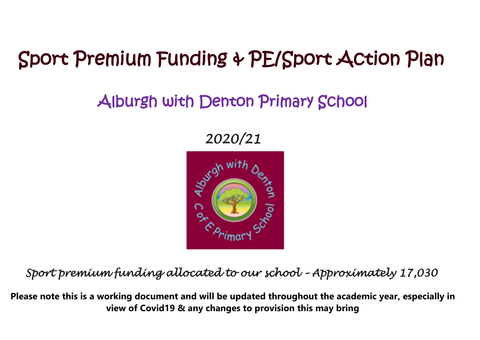## Sport Premium Funding & PE/Sport Action Plan

## Alburgh with Denton Primary School

*2020/21* 



*Sport premium funding allocated to our school – Approximately 17,030* 

**Please note this is a working document and will be updated throughout the academic year, especially in view of Covid19 & any changes to provision this may bring**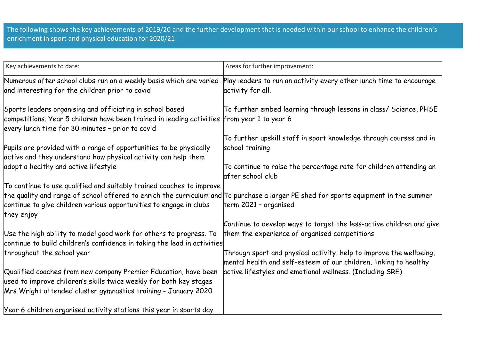The following shows the key achievements of 2019/20 and the further development that is needed within our school to enhance the children's enrichment in sport and physical education for 2020/21

| Key achievements to date:                                                                                                            | Areas for further improvement:                                                                                                 |
|--------------------------------------------------------------------------------------------------------------------------------------|--------------------------------------------------------------------------------------------------------------------------------|
| Numerous after school clubs run on a weekly basis which are varied                                                                   | Play leaders to run an activity every other lunch time to encourage<br>activity for all.                                       |
| and interesting for the children prior to covid                                                                                      |                                                                                                                                |
| Sports leaders organising and officiating in school based                                                                            | To further embed learning through lessons in class/ Science, PHSE                                                              |
| competitions. Year 5 children have been trained in leading activities from year 1 to year 6                                          |                                                                                                                                |
| every lunch time for 30 minutes - prior to covid                                                                                     | To further upskill staff in sport knowledge through courses and in                                                             |
| Pupils are provided with a range of opportunities to be physically                                                                   | school training                                                                                                                |
| active and they understand how physical activity can help them                                                                       |                                                                                                                                |
| adopt a healthy and active lifestyle                                                                                                 | To continue to raise the percentage rate for children attending an<br>lafter school club                                       |
| To continue to use qualified and suitably trained coaches to improve                                                                 |                                                                                                                                |
| the quality and range of school offered to enrich the curriculum and To purchase a larger PE shed for sports equipment in the summer |                                                                                                                                |
| continue to give children various opportunities to engage in clubs                                                                   | term 2021 - organised                                                                                                          |
| they enjoy                                                                                                                           | Continue to develop ways to target the less-active children and give                                                           |
| Use the high ability to model good work for others to progress. To                                                                   | them the experience of organised competitions                                                                                  |
| continue to build children's confidence in taking the lead in activities                                                             |                                                                                                                                |
| throughout the school year                                                                                                           | Through sport and physical activity, help to improve the wellbeing,                                                            |
| Qualified coaches from new company Premier Education, have been                                                                      | mental health and self-esteem of our children, linking to healthy<br>active lifestyles and emotional wellness. (Including SRE) |
| used to improve children's skills twice weekly for both key stages                                                                   |                                                                                                                                |
| Mrs Wright attended cluster gymnastics training - January 2020                                                                       |                                                                                                                                |
| Year 6 children organised activity stations this year in sports day                                                                  |                                                                                                                                |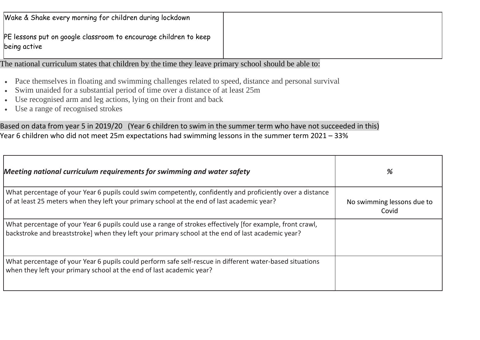|              | Wake & Shake every morning for children during lockdown          |
|--------------|------------------------------------------------------------------|
| being active | PE lessons put on google classroom to encourage children to keep |

The national curriculum states that children by the time they leave primary school should be able to:

- Pace themselves in floating and swimming challenges related to speed, distance and personal survival
- Swim unaided for a substantial period of time over a distance of at least 25m
- Use recognised arm and leg actions, lying on their front and back
- Use a range of recognised strokes

Based on data from year 5 in 2019/20 (Year 6 children to swim in the summer term who have not succeeded in this) Year 6 children who did not meet 25m expectations had swimming lessons in the summer term 2021 – 33%

| Meeting national curriculum requirements for swimming and water safety                                                                                                                                         | %                                   |
|----------------------------------------------------------------------------------------------------------------------------------------------------------------------------------------------------------------|-------------------------------------|
| What percentage of your Year 6 pupils could swim competently, confidently and proficiently over a distance<br>of at least 25 meters when they left your primary school at the end of last academic year?       | No swimming lessons due to<br>Covid |
| What percentage of your Year 6 pupils could use a range of strokes effectively [for example, front crawl,<br>backstroke and breaststroke] when they left your primary school at the end of last academic year? |                                     |
| What percentage of your Year 6 pupils could perform safe self-rescue in different water-based situations<br>when they left your primary school at the end of last academic year?                               |                                     |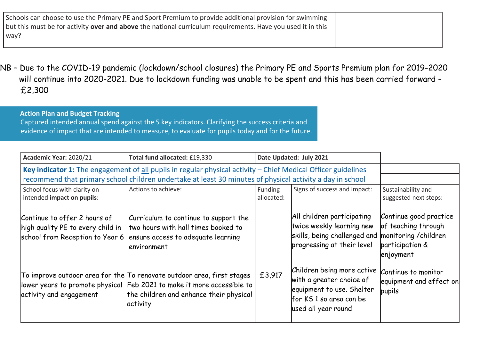| Schools can choose to use the Primary PE and Sport Premium to provide additional provision for swimming     |  |
|-------------------------------------------------------------------------------------------------------------|--|
| but this must be for activity over and above the national curriculum requirements. Have you used it in this |  |
| way?                                                                                                        |  |
|                                                                                                             |  |

NB – Due to the COVID-19 pandemic (lockdown/school closures) the Primary PE and Sports Premium plan for 2019-2020 will continue into 2020-2021. Due to lockdown funding was unable to be spent and this has been carried forward - £2,300

## **Action Plan and Budget Tracking** Captured intended annual spend against the 5 key indicators. Clarifying the success criteria and evidence of impact that are intended to measure, to evaluate for pupils today and for the future.

| Academic Year: 2020/21                                                                                                                                                                                                       | Total fund allocated: £19,330                                                                                                                                                                           |                       | Date Updated: July 2021                                                                                                                     |                                                                               |
|------------------------------------------------------------------------------------------------------------------------------------------------------------------------------------------------------------------------------|---------------------------------------------------------------------------------------------------------------------------------------------------------------------------------------------------------|-----------------------|---------------------------------------------------------------------------------------------------------------------------------------------|-------------------------------------------------------------------------------|
| Key indicator 1: The engagement of all pupils in regular physical activity $-$ Chief Medical Officer guidelines<br>recommend that primary school children undertake at least 30 minutes of physical activity a day in school |                                                                                                                                                                                                         |                       |                                                                                                                                             |                                                                               |
| School focus with clarity on<br>intended impact on pupils:                                                                                                                                                                   | Actions to achieve:                                                                                                                                                                                     | Funding<br>allocated: | Signs of success and impact:                                                                                                                | Sustainability and<br>suggested next steps:                                   |
| Continue to offer 2 hours of<br>high quality PE to every child in<br>school from Reception to Year 6                                                                                                                         | Curriculum to continue to support the<br>two hours with hall times booked to<br>ensure access to adequate learning<br>environment                                                                       |                       | All children participating<br>twice weekly learning new<br>skills, being challenged and monitoring / children<br>progressing at their level | Continue good practice<br>of teaching through<br>participation &<br>enjoyment |
| activity and engagement                                                                                                                                                                                                      | To improve outdoor area for the To renovate outdoor area, first stages<br>lower years to promote physical Feb 2021 to make it more accessible to<br>the children and enhance their physical<br>activity | £3,917                | Children being more active<br>with a greater choice of<br>equipment to use. Shelter<br>for KS 1 so area can be<br>used all year round       | Continue to monitor<br>equipment and effect on<br>pupils                      |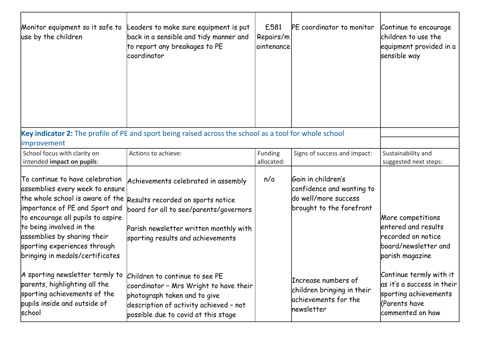| Monitor equipment so it safe to<br>use by the children                                                                                                                                                                                                                                                      | Leaders to make sure equipment is put<br>back in a sensible and tidy manner and<br>to report any breakages to PE<br>lcoordinator                                                                  | £581<br>Repairs/m<br>laintenance | PE coordinator to monitor                                                                           | Continue to encourage<br>children to use the<br>equipment provided in a<br>sensible way                             |
|-------------------------------------------------------------------------------------------------------------------------------------------------------------------------------------------------------------------------------------------------------------------------------------------------------------|---------------------------------------------------------------------------------------------------------------------------------------------------------------------------------------------------|----------------------------------|-----------------------------------------------------------------------------------------------------|---------------------------------------------------------------------------------------------------------------------|
| improvement                                                                                                                                                                                                                                                                                                 | Key indicator 2: The profile of PE and sport being raised across the school as a tool for whole school                                                                                            |                                  |                                                                                                     |                                                                                                                     |
| School focus with clarity on<br>intended impact on pupils:                                                                                                                                                                                                                                                  | Actions to achieve:                                                                                                                                                                               | Funding<br>allocated:            | Signs of success and impact:                                                                        | Sustainability and<br>suggested next steps:                                                                         |
| To continue to have celebration<br>assemblies every week to ensure<br>the whole school is aware of the<br>importance of PE and Sport and<br>to encourage all pupils to aspire<br>to being involved in the<br>assemblies by sharing their<br>sporting experiences through<br>bringing in medals/certificates | Achievements celebrated in assembly<br>Results recorded on sports notice<br>board for all to see/parents/governors<br>Parish newsletter written monthly with<br>sporting results and achievements | n/a                              | Gain in children's<br>confidence and wanting to<br>do well/more success<br>brought to the forefront | More competitions<br>entered and results<br>recorded on notice<br>board/newsletter and<br>parish magazine           |
| A sporting newsletter termly to<br>parents, highlighting all the<br>sporting achievements of the<br>pupils inside and outside of<br>school                                                                                                                                                                  | Children to continue to see PE<br>coordinator - Mrs Wright to have their<br>photograph taken and to give<br>description of activity achieved - not<br>possible due to covid at this stage         |                                  | Increase numbers of<br>children bringing in their<br>achievements for the<br>hewsletter             | Continue termly with it<br>as it's a success in their<br>sporting achievements<br>(Parents have<br>commented on how |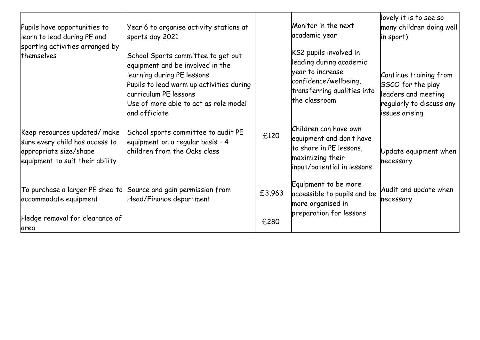| Pupils have opportunities to<br>learn to lead during PE and                                                                | Year 6 to organise activity stations at<br>sports day 2021                                                                                                                                                                          |        | Monitor in the next<br>academic year                                                                                                           | lovely it is to see so<br>many children doing well<br>$ $ in sport)                                              |
|----------------------------------------------------------------------------------------------------------------------------|-------------------------------------------------------------------------------------------------------------------------------------------------------------------------------------------------------------------------------------|--------|------------------------------------------------------------------------------------------------------------------------------------------------|------------------------------------------------------------------------------------------------------------------|
| sporting activities arranged by<br>themselves                                                                              | School Sports committee to get out<br>equipment and be involved in the<br>learning during PE lessons<br>Pupils to lead warm up activities during<br>curriculum PE lessons<br>Use of more able to act as role model<br>and officiate |        | KS2 pupils involved in<br>leading during academic<br>year to increase<br>confidence/wellbeing,<br>transferring qualities into<br>the classroom | Continue training from<br>SSCO for the play<br>leaders and meeting<br>regularly to discuss any<br>issues arising |
| Keep resources updated/make<br>sure every child has access to<br>appropriate size/shape<br>equipment to suit their ability | School sports committee to audit PE<br>equipment on a regular basis - 4<br>children from the Oaks class                                                                                                                             | £120   | Children can have own<br>equipment and don't have<br>to share in PE lessons,<br>maximizing their<br>input/potential in lessons                 | Update equipment when<br>necessary                                                                               |
| To purchase a larger PE shed to<br>accommodate equipment                                                                   | Source and gain permission from<br>Head/Finance department                                                                                                                                                                          | £3,963 | Equipment to be more<br>accessible to pupils and be<br>more organised in<br>preparation for lessons                                            | Audit and update when<br>necessary                                                                               |
| Hedge removal for clearance of<br>area                                                                                     |                                                                                                                                                                                                                                     | £280   |                                                                                                                                                |                                                                                                                  |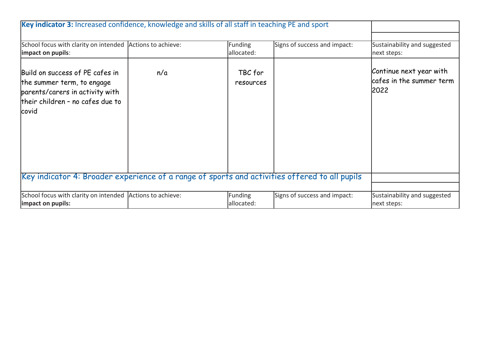| Key indicator 3: Increased confidence, knowledge and skills of all staff in teaching PE and sport                                             |                     |                       |                              |                                                             |
|-----------------------------------------------------------------------------------------------------------------------------------------------|---------------------|-----------------------|------------------------------|-------------------------------------------------------------|
| School focus with clarity on intended Actions to achieve:                                                                                     |                     | Funding               | Signs of success and impact: | Sustainability and suggested                                |
| impact on pupils:                                                                                                                             |                     | allocated:            |                              | next steps:                                                 |
| Build on success of PE cafes in<br>the summer term, to engage<br>parents/carers in activity with<br>their children - no cafes due to<br>covid | n/a                 | TBC for<br>resources  |                              | Continue next year with<br>cafes in the summer term<br>2022 |
| Key indicator 4: Broader experience of a range of sports and activities offered to all pupils                                                 |                     |                       |                              |                                                             |
|                                                                                                                                               |                     |                       |                              |                                                             |
| School focus with clarity on intended<br>impact on pupils:                                                                                    | Actions to achieve: | Funding<br>allocated: | Signs of success and impact: | Sustainability and suggested<br>next steps:                 |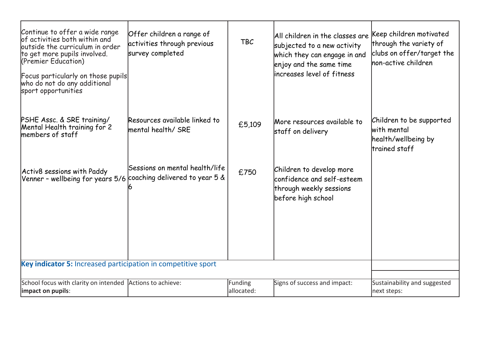| Continue to offer a wide range<br>of activities both within and<br>outside the curriculum in order<br>to get more pupils involved.<br>(Premier Education)<br>Focus particularly on those pupils<br>who do not do any additional<br>sport opportunities | Offer children a range of<br>activities through previous<br>survey completed | <b>TBC</b>                   | All children in the classes are<br>subjected to a new activity<br>which they can engage in and<br>enjoy and the same time<br>lincreases level of fitness | Keep children motivated<br>through the variety of<br>clubs on offer/target the<br>non-active children |
|--------------------------------------------------------------------------------------------------------------------------------------------------------------------------------------------------------------------------------------------------------|------------------------------------------------------------------------------|------------------------------|----------------------------------------------------------------------------------------------------------------------------------------------------------|-------------------------------------------------------------------------------------------------------|
| PSHE Assc. & SRE training/<br>Mental Health training for 2<br>members of staff                                                                                                                                                                         | Resources available linked to<br>lmental health/ SRE                         | £5,109                       | More resources available to<br>staff on delivery                                                                                                         | Children to be supported<br>with mental<br>health/wellbeing by<br>trained staff                       |
| Activ8 sessions with Paddy<br>Venner - wellbeing for years 5/6                                                                                                                                                                                         | Sessions on mental health/life<br>coaching delivered to year 5 &             | £750                         | Children to develop more<br>confidence and self-esteem<br>through weekly sessions<br>before high school                                                  |                                                                                                       |
| Key indicator 5: Increased participation in competitive sport                                                                                                                                                                                          |                                                                              |                              |                                                                                                                                                          |                                                                                                       |
|                                                                                                                                                                                                                                                        |                                                                              |                              |                                                                                                                                                          |                                                                                                       |
| School focus with clarity on intended Actions to achieve:<br>impact on pupils:                                                                                                                                                                         |                                                                              | <b>Funding</b><br>allocated: | Signs of success and impact:                                                                                                                             | Sustainability and suggested<br>next steps:                                                           |